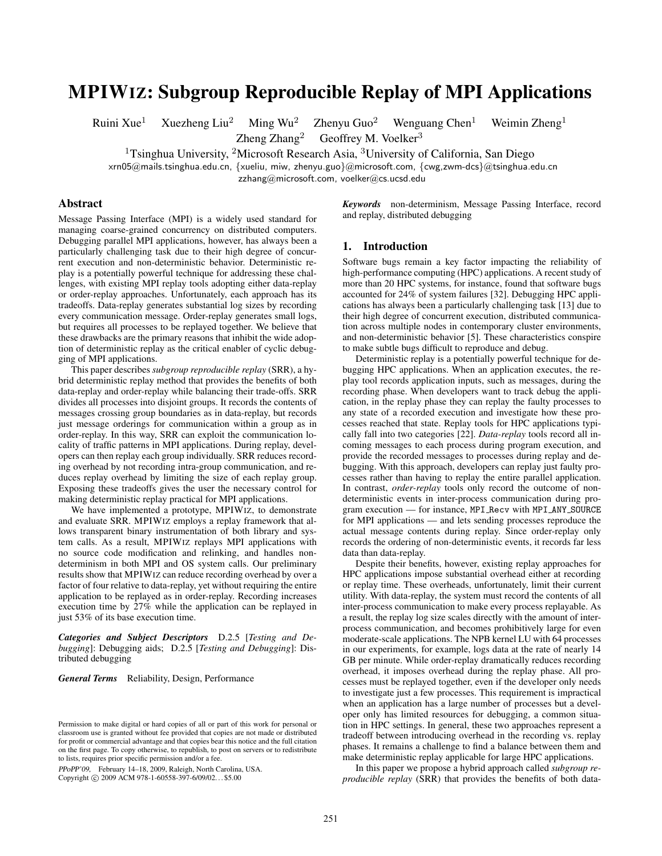# MPIWIZ: Subgroup Reproducible Replay of MPI Applications

Ruini Xue<sup>1</sup> Xuezheng Liu<sup>2</sup> Ming Wu<sup>2</sup> Zhenyu Guo<sup>2</sup> Wenguang Chen<sup>1</sup> Weimin Zheng<sup>1</sup>

Zheng Zhang<sup>2</sup> Geoffrey M. Voelker<sup>3</sup>

<sup>1</sup>Tsinghua University, <sup>2</sup>Microsoft Research Asia, <sup>3</sup>University of California, San Diego

xrn05@mails.tsinghua.edu.cn, {xueliu, miw, zhenyu.guo}@microsoft.com, {cwg,zwm-dcs}@tsinghua.edu.cn

zzhang@microsoft.com, voelker@cs.ucsd.edu

# Abstract

Message Passing Interface (MPI) is a widely used standard for managing coarse-grained concurrency on distributed computers. Debugging parallel MPI applications, however, has always been a particularly challenging task due to their high degree of concurrent execution and non-deterministic behavior. Deterministic replay is a potentially powerful technique for addressing these challenges, with existing MPI replay tools adopting either data-replay or order-replay approaches. Unfortunately, each approach has its tradeoffs. Data-replay generates substantial log sizes by recording every communication message. Order-replay generates small logs, but requires all processes to be replayed together. We believe that these drawbacks are the primary reasons that inhibit the wide adoption of deterministic replay as the critical enabler of cyclic debugging of MPI applications.

This paper describes *subgroup reproducible replay* (SRR), a hybrid deterministic replay method that provides the benefits of both data-replay and order-replay while balancing their trade-offs. SRR divides all processes into disjoint groups. It records the contents of messages crossing group boundaries as in data-replay, but records just message orderings for communication within a group as in order-replay. In this way, SRR can exploit the communication locality of traffic patterns in MPI applications. During replay, developers can then replay each group individually. SRR reduces recording overhead by not recording intra-group communication, and reduces replay overhead by limiting the size of each replay group. Exposing these tradeoffs gives the user the necessary control for making deterministic replay practical for MPI applications.

We have implemented a prototype, MPIWIZ, to demonstrate and evaluate SRR. MPIWIZ employs a replay framework that allows transparent binary instrumentation of both library and system calls. As a result, MPIWIZ replays MPI applications with no source code modification and relinking, and handles nondeterminism in both MPI and OS system calls. Our preliminary results show that MPIWIZ can reduce recording overhead by over a factor of four relative to data-replay, yet without requiring the entire application to be replayed as in order-replay. Recording increases execution time by 27% while the application can be replayed in just 53% of its base execution time.

*Categories and Subject Descriptors* D.2.5 [*Testing and Debugging*]: Debugging aids; D.2.5 [*Testing and Debugging*]: Distributed debugging

*General Terms* Reliability, Design, Performance

PPoPP'09, February 14–18, 2009, Raleigh, North Carolina, USA. Copyright © 2009 ACM 978-1-60558-397-6/09/02... \$5.00

*Keywords* non-determinism, Message Passing Interface, record and replay, distributed debugging

## 1. Introduction

Software bugs remain a key factor impacting the reliability of high-performance computing (HPC) applications. A recent study of more than 20 HPC systems, for instance, found that software bugs accounted for 24% of system failures [32]. Debugging HPC applications has always been a particularly challenging task [13] due to their high degree of concurrent execution, distributed communication across multiple nodes in contemporary cluster environments, and non-deterministic behavior [5]. These characteristics conspire to make subtle bugs difficult to reproduce and debug.

Deterministic replay is a potentially powerful technique for debugging HPC applications. When an application executes, the replay tool records application inputs, such as messages, during the recording phase. When developers want to track debug the application, in the replay phase they can replay the faulty processes to any state of a recorded execution and investigate how these processes reached that state. Replay tools for HPC applications typically fall into two categories [22]. *Data-replay* tools record all incoming messages to each process during program execution, and provide the recorded messages to processes during replay and debugging. With this approach, developers can replay just faulty processes rather than having to replay the entire parallel application. In contrast, *order-replay* tools only record the outcome of nondeterministic events in inter-process communication during program execution — for instance, MPI Recv with MPI ANY SOURCE for MPI applications — and lets sending processes reproduce the actual message contents during replay. Since order-replay only records the ordering of non-deterministic events, it records far less data than data-replay.

Despite their benefits, however, existing replay approaches for HPC applications impose substantial overhead either at recording or replay time. These overheads, unfortunately, limit their current utility. With data-replay, the system must record the contents of all inter-process communication to make every process replayable. As a result, the replay log size scales directly with the amount of interprocess communication, and becomes prohibitively large for even moderate-scale applications. The NPB kernel LU with 64 processes in our experiments, for example, logs data at the rate of nearly 14 GB per minute. While order-replay dramatically reduces recording overhead, it imposes overhead during the replay phase. All processes must be replayed together, even if the developer only needs to investigate just a few processes. This requirement is impractical when an application has a large number of processes but a developer only has limited resources for debugging, a common situation in HPC settings. In general, these two approaches represent a tradeoff between introducing overhead in the recording vs. replay phases. It remains a challenge to find a balance between them and make deterministic replay applicable for large HPC applications.

In this paper we propose a hybrid approach called *subgroup reproducible replay* (SRR) that provides the benefits of both data-

Permission to make digital or hard copies of all or part of this work for personal or classroom use is granted without fee provided that copies are not made or distributed for profit or commercial advantage and that copies bear this notice and the full citation on the first page. To copy otherwise, to republish, to post on servers or to redistribute to lists, requires prior specific permission and/or a fee.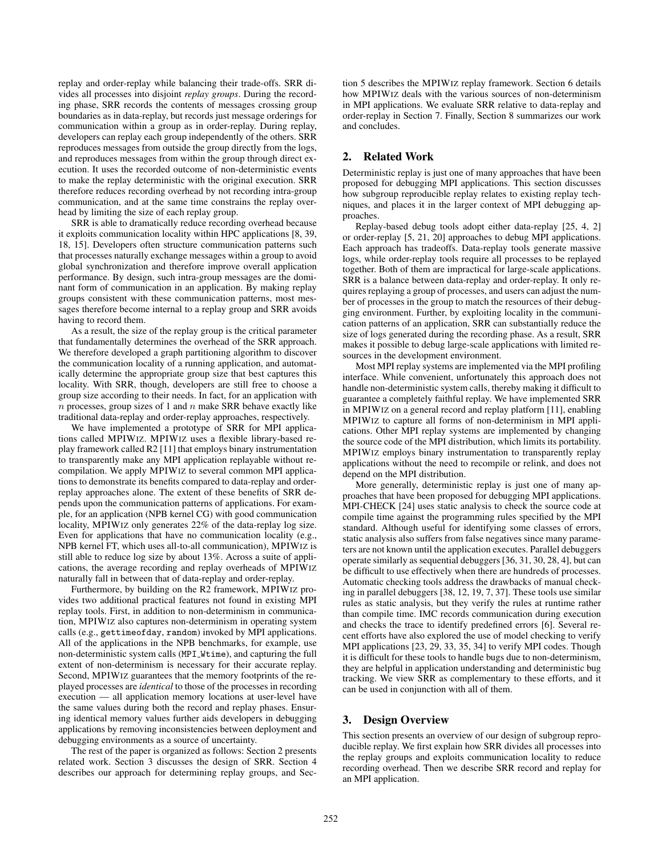replay and order-replay while balancing their trade-offs. SRR divides all processes into disjoint *replay groups*. During the recording phase, SRR records the contents of messages crossing group boundaries as in data-replay, but records just message orderings for communication within a group as in order-replay. During replay, developers can replay each group independently of the others. SRR reproduces messages from outside the group directly from the logs, and reproduces messages from within the group through direct execution. It uses the recorded outcome of non-deterministic events to make the replay deterministic with the original execution. SRR therefore reduces recording overhead by not recording intra-group communication, and at the same time constrains the replay overhead by limiting the size of each replay group.

SRR is able to dramatically reduce recording overhead because it exploits communication locality within HPC applications [8, 39, 18, 15]. Developers often structure communication patterns such that processes naturally exchange messages within a group to avoid global synchronization and therefore improve overall application performance. By design, such intra-group messages are the dominant form of communication in an application. By making replay groups consistent with these communication patterns, most messages therefore become internal to a replay group and SRR avoids having to record them.

As a result, the size of the replay group is the critical parameter that fundamentally determines the overhead of the SRR approach. We therefore developed a graph partitioning algorithm to discover the communication locality of a running application, and automatically determine the appropriate group size that best captures this locality. With SRR, though, developers are still free to choose a group size according to their needs. In fact, for an application with  $n$  processes, group sizes of 1 and  $n$  make SRR behave exactly like traditional data-replay and order-replay approaches, respectively.

We have implemented a prototype of SRR for MPI applications called MPIWIZ. MPIWIZ uses a flexible library-based replay framework called R2 [11] that employs binary instrumentation to transparently make any MPI application replayable without recompilation. We apply MPIWIZ to several common MPI applications to demonstrate its benefits compared to data-replay and orderreplay approaches alone. The extent of these benefits of SRR depends upon the communication patterns of applications. For example, for an application (NPB kernel CG) with good communication locality, MPIWIZ only generates 22% of the data-replay log size. Even for applications that have no communication locality (e.g., NPB kernel FT, which uses all-to-all communication), MPIWIZ is still able to reduce log size by about 13%. Across a suite of applications, the average recording and replay overheads of MPIWIZ naturally fall in between that of data-replay and order-replay.

Furthermore, by building on the R2 framework, MPIWIZ provides two additional practical features not found in existing MPI replay tools. First, in addition to non-determinism in communication, MPIWIZ also captures non-determinism in operating system calls (e.g., gettimeofday, random) invoked by MPI applications. All of the applications in the NPB benchmarks, for example, use non-deterministic system calls (MPI\_Wtime), and capturing the full extent of non-determinism is necessary for their accurate replay. Second, MPIWIZ guarantees that the memory footprints of the replayed processes are *identical* to those of the processes in recording execution — all application memory locations at user-level have the same values during both the record and replay phases. Ensuring identical memory values further aids developers in debugging applications by removing inconsistencies between deployment and debugging environments as a source of uncertainty.

The rest of the paper is organized as follows: Section 2 presents related work. Section 3 discusses the design of SRR. Section 4 describes our approach for determining replay groups, and Section 5 describes the MPIWIZ replay framework. Section 6 details how MPIWIZ deals with the various sources of non-determinism in MPI applications. We evaluate SRR relative to data-replay and order-replay in Section 7. Finally, Section 8 summarizes our work and concludes.

## 2. Related Work

Deterministic replay is just one of many approaches that have been proposed for debugging MPI applications. This section discusses how subgroup reproducible replay relates to existing replay techniques, and places it in the larger context of MPI debugging approaches.

Replay-based debug tools adopt either data-replay [25, 4, 2] or order-replay [5, 21, 20] approaches to debug MPI applications. Each approach has tradeoffs. Data-replay tools generate massive logs, while order-replay tools require all processes to be replayed together. Both of them are impractical for large-scale applications. SRR is a balance between data-replay and order-replay. It only requires replaying a group of processes, and users can adjust the number of processes in the group to match the resources of their debugging environment. Further, by exploiting locality in the communication patterns of an application, SRR can substantially reduce the size of logs generated during the recording phase. As a result, SRR makes it possible to debug large-scale applications with limited resources in the development environment.

Most MPI replay systems are implemented via the MPI profiling interface. While convenient, unfortunately this approach does not handle non-deterministic system calls, thereby making it difficult to guarantee a completely faithful replay. We have implemented SRR in MPIWIZ on a general record and replay platform [11], enabling MPIWIZ to capture all forms of non-determinism in MPI applications. Other MPI replay systems are implemented by changing the source code of the MPI distribution, which limits its portability. MPIWIZ employs binary instrumentation to transparently replay applications without the need to recompile or relink, and does not depend on the MPI distribution.

More generally, deterministic replay is just one of many approaches that have been proposed for debugging MPI applications. MPI-CHECK [24] uses static analysis to check the source code at compile time against the programming rules specified by the MPI standard. Although useful for identifying some classes of errors, static analysis also suffers from false negatives since many parameters are not known until the application executes. Parallel debuggers operate similarly as sequential debuggers [36, 31, 30, 28, 4], but can be difficult to use effectively when there are hundreds of processes. Automatic checking tools address the drawbacks of manual checking in parallel debuggers [38, 12, 19, 7, 37]. These tools use similar rules as static analysis, but they verify the rules at runtime rather than compile time. IMC records communication during execution and checks the trace to identify predefined errors [6]. Several recent efforts have also explored the use of model checking to verify MPI applications [23, 29, 33, 35, 34] to verify MPI codes. Though it is difficult for these tools to handle bugs due to non-determinism, they are helpful in application understanding and deterministic bug tracking. We view SRR as complementary to these efforts, and it can be used in conjunction with all of them.

# 3. Design Overview

This section presents an overview of our design of subgroup reproducible replay. We first explain how SRR divides all processes into the replay groups and exploits communication locality to reduce recording overhead. Then we describe SRR record and replay for an MPI application.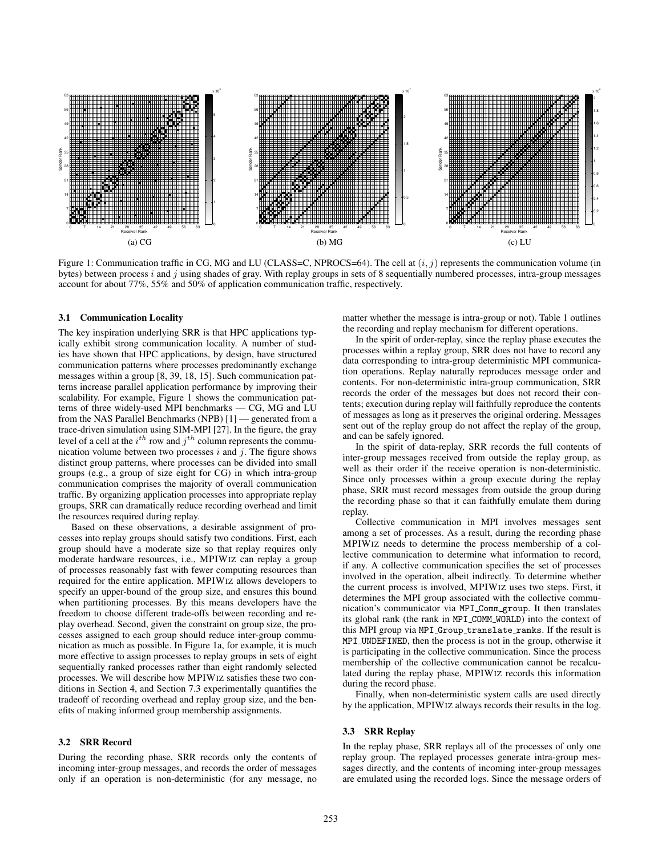

Figure 1: Communication traffic in CG, MG and LU (CLASS=C, NPROCS=64). The cell at  $(i, j)$  represents the communication volume (in bytes) between process i and j using shades of gray. With replay groups in sets of 8 sequentially numbered processes, intra-group messages account for about 77%, 55% and 50% of application communication traffic, respectively.

#### 3.1 Communication Locality

The key inspiration underlying SRR is that HPC applications typically exhibit strong communication locality. A number of studies have shown that HPC applications, by design, have structured communication patterns where processes predominantly exchange messages within a group [8, 39, 18, 15]. Such communication patterns increase parallel application performance by improving their scalability. For example, Figure 1 shows the communication patterns of three widely-used MPI benchmarks — CG, MG and LU from the NAS Parallel Benchmarks (NPB) [1] — generated from a trace-driven simulation using SIM-MPI [27]. In the figure, the gray level of a cell at the  $i^{th}$  row and  $j^{th}$  column represents the communication volume between two processes  $i$  and  $j$ . The figure shows distinct group patterns, where processes can be divided into small groups (e.g., a group of size eight for CG) in which intra-group communication comprises the majority of overall communication traffic. By organizing application processes into appropriate replay groups, SRR can dramatically reduce recording overhead and limit the resources required during replay.

Based on these observations, a desirable assignment of processes into replay groups should satisfy two conditions. First, each group should have a moderate size so that replay requires only moderate hardware resources, i.e., MPIWIZ can replay a group of processes reasonably fast with fewer computing resources than required for the entire application. MPIWIZ allows developers to specify an upper-bound of the group size, and ensures this bound when partitioning processes. By this means developers have the freedom to choose different trade-offs between recording and replay overhead. Second, given the constraint on group size, the processes assigned to each group should reduce inter-group communication as much as possible. In Figure 1a, for example, it is much more effective to assign processes to replay groups in sets of eight sequentially ranked processes rather than eight randomly selected processes. We will describe how MPIWIZ satisfies these two conditions in Section 4, and Section 7.3 experimentally quantifies the tradeoff of recording overhead and replay group size, and the benefits of making informed group membership assignments.

#### 3.2 SRR Record

During the recording phase, SRR records only the contents of incoming inter-group messages, and records the order of messages only if an operation is non-deterministic (for any message, no matter whether the message is intra-group or not). Table 1 outlines the recording and replay mechanism for different operations.

In the spirit of order-replay, since the replay phase executes the processes within a replay group, SRR does not have to record any data corresponding to intra-group deterministic MPI communication operations. Replay naturally reproduces message order and contents. For non-deterministic intra-group communication, SRR records the order of the messages but does not record their contents; execution during replay will faithfully reproduce the contents of messages as long as it preserves the original ordering. Messages sent out of the replay group do not affect the replay of the group, and can be safely ignored.

In the spirit of data-replay, SRR records the full contents of inter-group messages received from outside the replay group, as well as their order if the receive operation is non-deterministic. Since only processes within a group execute during the replay phase, SRR must record messages from outside the group during the recording phase so that it can faithfully emulate them during replay.

Collective communication in MPI involves messages sent among a set of processes. As a result, during the recording phase MPIWIZ needs to determine the process membership of a collective communication to determine what information to record, if any. A collective communication specifies the set of processes involved in the operation, albeit indirectly. To determine whether the current process is involved, MPIWIZ uses two steps. First, it determines the MPI group associated with the collective communication's communicator via MPI Comm group. It then translates its global rank (the rank in MPI COMM WORLD) into the context of this MPI group via MPI\_Group\_translate\_ranks. If the result is MPI UNDEFINED, then the process is not in the group, otherwise it is participating in the collective communication. Since the process membership of the collective communication cannot be recalculated during the replay phase, MPIWIZ records this information during the record phase.

Finally, when non-deterministic system calls are used directly by the application, MPIWIZ always records their results in the log.

#### 3.3 SRR Replay

In the replay phase, SRR replays all of the processes of only one replay group. The replayed processes generate intra-group messages directly, and the contents of incoming inter-group messages are emulated using the recorded logs. Since the message orders of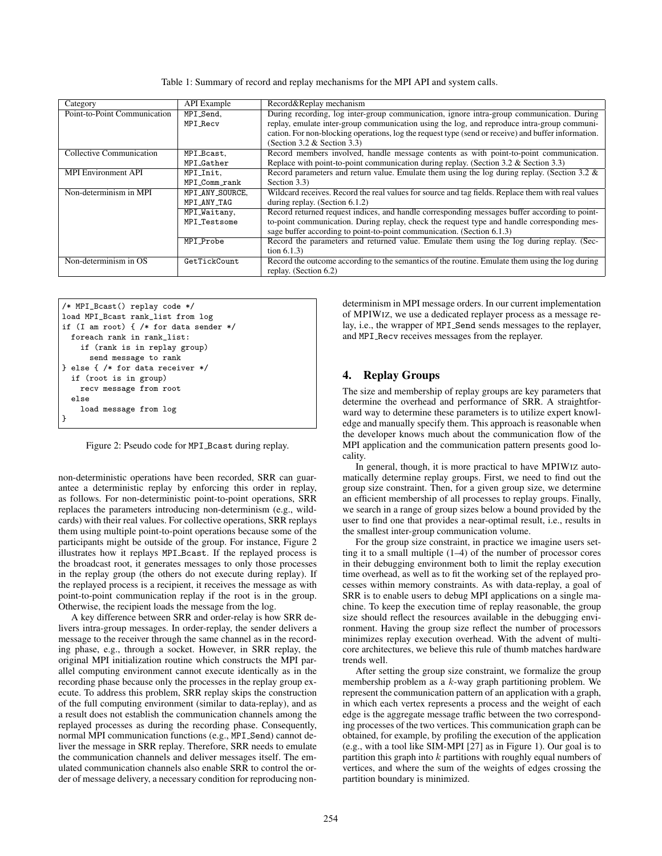Table 1: Summary of record and replay mechanisms for the MPI API and system calls.

| Category                     | API Example     | Record&Replay mechanism                                                                             |
|------------------------------|-----------------|-----------------------------------------------------------------------------------------------------|
| Point-to-Point Communication | MPI_Send.       | During recording, log inter-group communication, ignore intra-group communication. During           |
|                              | MPI_Recv        | replay, emulate inter-group communication using the log, and reproduce intra-group communi-         |
|                              |                 | cation. For non-blocking operations, log the request type (send or receive) and buffer information. |
|                              |                 | (Section 3.2 $& Section 3.3$ )                                                                      |
| Collective Communication     | MPI_Bcast.      | Record members involved, handle message contents as with point-to-point communication.              |
|                              | MPI_Gather      | Replace with point-to-point communication during replay. (Section 3.2 $\&$ Section 3.3)             |
| <b>MPI Environment API</b>   | MPI_Init,       | Record parameters and return value. Emulate them using the log during replay. (Section 3.2 $\&$     |
|                              | MPI_Comm_rank   | Section 3.3)                                                                                        |
| Non-determinism in MPI       | MPI_ANY_SOURCE, | Wildcard receives. Record the real values for source and tag fields. Replace them with real values  |
|                              | MPI_ANY_TAG     | during replay. (Section $6.1.2$ )                                                                   |
|                              | MPI_Waitany,    | Record returned request indices, and handle corresponding messages buffer according to point-       |
|                              | MPI Testsome    | to-point communication. During replay, check the request type and handle corresponding mes-         |
|                              |                 | sage buffer according to point-to-point communication. (Section 6.1.3)                              |
|                              | MPI Probe       | Record the parameters and returned value. Emulate them using the log during replay. (Sec-           |
|                              |                 | tion $6.1.3$                                                                                        |
| Non-determinism in OS        | GetTickCount    | Record the outcome according to the semantics of the routine. Emulate them using the log during     |
|                              |                 | replay. (Section 6.2)                                                                               |

| /* MPI_Bcast() replay code */<br>load MPI_Bcast rank_list from log |
|--------------------------------------------------------------------|
| if (I am root) { $/*$ for data sender $*/$                         |
| foreach rank in rank_list:                                         |
| if (rank is in replay group)                                       |
| send message to rank                                               |
| } else { /* for data receiver */                                   |
| if (root is in group)                                              |
| recv message from root                                             |
| else                                                               |
| load message from log                                              |
|                                                                    |
|                                                                    |

Figure 2: Pseudo code for MPI Bcast during replay.

non-deterministic operations have been recorded, SRR can guarantee a deterministic replay by enforcing this order in replay, as follows. For non-deterministic point-to-point operations, SRR replaces the parameters introducing non-determinism (e.g., wildcards) with their real values. For collective operations, SRR replays them using multiple point-to-point operations because some of the participants might be outside of the group. For instance, Figure 2 illustrates how it replays MPI Bcast. If the replayed process is the broadcast root, it generates messages to only those processes in the replay group (the others do not execute during replay). If the replayed process is a recipient, it receives the message as with point-to-point communication replay if the root is in the group. Otherwise, the recipient loads the message from the log.

A key difference between SRR and order-relay is how SRR delivers intra-group messages. In order-replay, the sender delivers a message to the receiver through the same channel as in the recording phase, e.g., through a socket. However, in SRR replay, the original MPI initialization routine which constructs the MPI parallel computing environment cannot execute identically as in the recording phase because only the processes in the replay group execute. To address this problem, SRR replay skips the construction of the full computing environment (similar to data-replay), and as a result does not establish the communication channels among the replayed processes as during the recording phase. Consequently, normal MPI communication functions (e.g., MPI Send) cannot deliver the message in SRR replay. Therefore, SRR needs to emulate the communication channels and deliver messages itself. The emulated communication channels also enable SRR to control the order of message delivery, a necessary condition for reproducing nondeterminism in MPI message orders. In our current implementation of MPIWIZ, we use a dedicated replayer process as a message relay, i.e., the wrapper of MPI Send sends messages to the replayer, and MPI Recv receives messages from the replayer.

# 4. Replay Groups

The size and membership of replay groups are key parameters that determine the overhead and performance of SRR. A straightforward way to determine these parameters is to utilize expert knowledge and manually specify them. This approach is reasonable when the developer knows much about the communication flow of the MPI application and the communication pattern presents good locality.

In general, though, it is more practical to have MPIWIZ automatically determine replay groups. First, we need to find out the group size constraint. Then, for a given group size, we determine an efficient membership of all processes to replay groups. Finally, we search in a range of group sizes below a bound provided by the user to find one that provides a near-optimal result, i.e., results in the smallest inter-group communication volume.

For the group size constraint, in practice we imagine users setting it to a small multiple (1–4) of the number of processor cores in their debugging environment both to limit the replay execution time overhead, as well as to fit the working set of the replayed processes within memory constraints. As with data-replay, a goal of SRR is to enable users to debug MPI applications on a single machine. To keep the execution time of replay reasonable, the group size should reflect the resources available in the debugging environment. Having the group size reflect the number of processors minimizes replay execution overhead. With the advent of multicore architectures, we believe this rule of thumb matches hardware trends well.

After setting the group size constraint, we formalize the group membership problem as a k-way graph partitioning problem. We represent the communication pattern of an application with a graph, in which each vertex represents a process and the weight of each edge is the aggregate message traffic between the two corresponding processes of the two vertices. This communication graph can be obtained, for example, by profiling the execution of the application (e.g., with a tool like SIM-MPI [27] as in Figure 1). Our goal is to partition this graph into  $k$  partitions with roughly equal numbers of vertices, and where the sum of the weights of edges crossing the partition boundary is minimized.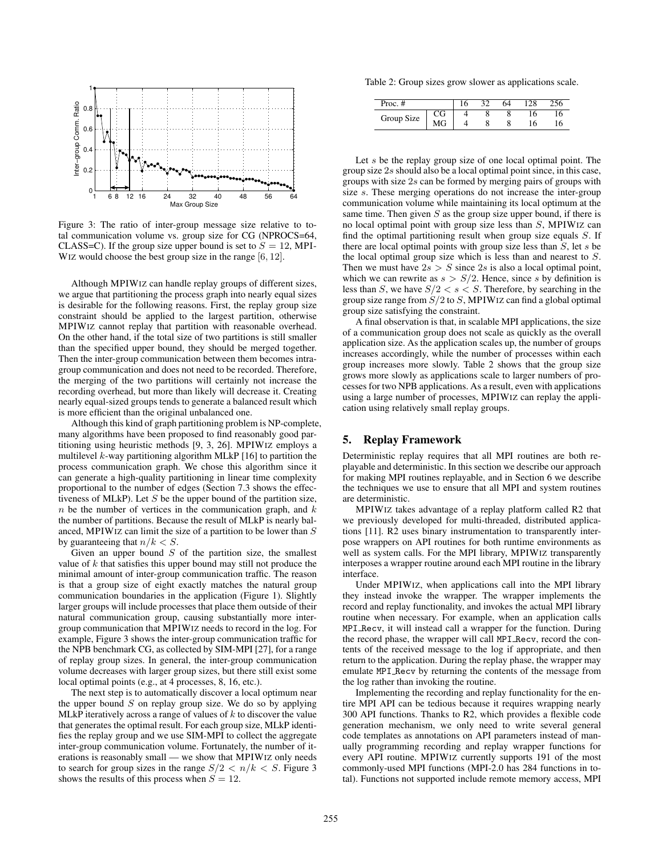

Figure 3: The ratio of inter-group message size relative to total communication volume vs. group size for CG (NPROCS=64, CLASS=C). If the group size upper bound is set to  $S = 12$ , MPI-WIZ would choose the best group size in the range [6, 12].

Although MPIWIZ can handle replay groups of different sizes, we argue that partitioning the process graph into nearly equal sizes is desirable for the following reasons. First, the replay group size constraint should be applied to the largest partition, otherwise MPIWIZ cannot replay that partition with reasonable overhead. On the other hand, if the total size of two partitions is still smaller than the specified upper bound, they should be merged together. Then the inter-group communication between them becomes intragroup communication and does not need to be recorded. Therefore, the merging of the two partitions will certainly not increase the recording overhead, but more than likely will decrease it. Creating nearly equal-sized groups tends to generate a balanced result which is more efficient than the original unbalanced one.

Although this kind of graph partitioning problem is NP-complete, many algorithms have been proposed to find reasonably good partitioning using heuristic methods [9, 3, 26]. MPIWIZ employs a multilevel  $k$ -way partitioning algorithm MLkP [16] to partition the process communication graph. We chose this algorithm since it can generate a high-quality partitioning in linear time complexity proportional to the number of edges (Section 7.3 shows the effectiveness of MLkP). Let  $S$  be the upper bound of the partition size,  $n$  be the number of vertices in the communication graph, and  $k$ the number of partitions. Because the result of MLkP is nearly balanced, MPIWIZ can limit the size of a partition to be lower than S by guaranteeing that  $n/k < S$ .

Given an upper bound  $S$  of the partition size, the smallest value of  $k$  that satisfies this upper bound may still not produce the minimal amount of inter-group communication traffic. The reason is that a group size of eight exactly matches the natural group communication boundaries in the application (Figure 1). Slightly larger groups will include processes that place them outside of their natural communication group, causing substantially more intergroup communication that MPIWIZ needs to record in the log. For example, Figure 3 shows the inter-group communication traffic for the NPB benchmark CG, as collected by SIM-MPI [27], for a range of replay group sizes. In general, the inter-group communication volume decreases with larger group sizes, but there still exist some local optimal points (e.g., at 4 processes, 8, 16, etc.).

The next step is to automatically discover a local optimum near the upper bound  $S$  on replay group size. We do so by applying MLkP iteratively across a range of values of  $k$  to discover the value that generates the optimal result. For each group size, MLkP identifies the replay group and we use SIM-MPI to collect the aggregate inter-group communication volume. Fortunately, the number of iterations is reasonably small — we show that MPIWIZ only needs to search for group sizes in the range  $S/2 < n/k < S$ . Figure 3 shows the results of this process when  $S = 12$ .

Table 2: Group sizes grow slower as applications scale.

| Proc. $#$  |     |   | 54 |  |
|------------|-----|---|----|--|
| Group Size | JG. | О | О  |  |
|            |     | o |    |  |

Let s be the replay group size of one local optimal point. The group size 2s should also be a local optimal point since, in this case, groups with size 2s can be formed by merging pairs of groups with size s. These merging operations do not increase the inter-group communication volume while maintaining its local optimum at the same time. Then given  $S$  as the group size upper bound, if there is no local optimal point with group size less than S, MPIWIZ can find the optimal partitioning result when group size equals  $S$ . If there are local optimal points with group size less than  $S$ , let  $s$  be the local optimal group size which is less than and nearest to S. Then we must have  $2s > S$  since  $2s$  is also a local optimal point, which we can rewrite as  $s > S/2$ . Hence, since s by definition is less than S, we have  $S/2 < s < S$ . Therefore, by searching in the group size range from  $S/2$  to  $S$ , MPIWIZ can find a global optimal group size satisfying the constraint.

A final observation is that, in scalable MPI applications, the size of a communication group does not scale as quickly as the overall application size. As the application scales up, the number of groups increases accordingly, while the number of processes within each group increases more slowly. Table 2 shows that the group size grows more slowly as applications scale to larger numbers of processes for two NPB applications. As a result, even with applications using a large number of processes, MPIWIZ can replay the application using relatively small replay groups.

## 5. Replay Framework

Deterministic replay requires that all MPI routines are both replayable and deterministic. In this section we describe our approach for making MPI routines replayable, and in Section 6 we describe the techniques we use to ensure that all MPI and system routines are deterministic.

MPIWIZ takes advantage of a replay platform called R2 that we previously developed for multi-threaded, distributed applications [11]. R2 uses binary instrumentation to transparently interpose wrappers on API routines for both runtime environments as well as system calls. For the MPI library, MPIWIZ transparently interposes a wrapper routine around each MPI routine in the library interface.

Under MPIWIZ, when applications call into the MPI library they instead invoke the wrapper. The wrapper implements the record and replay functionality, and invokes the actual MPI library routine when necessary. For example, when an application calls MPI Recv, it will instead call a wrapper for the function. During the record phase, the wrapper will call MPI Recv, record the contents of the received message to the log if appropriate, and then return to the application. During the replay phase, the wrapper may emulate MPI Recv by returning the contents of the message from the log rather than invoking the routine.

Implementing the recording and replay functionality for the entire MPI API can be tedious because it requires wrapping nearly 300 API functions. Thanks to R2, which provides a flexible code generation mechanism, we only need to write several general code templates as annotations on API parameters instead of manually programming recording and replay wrapper functions for every API routine. MPIWIZ currently supports 191 of the most commonly-used MPI functions (MPI-2.0 has 284 functions in total). Functions not supported include remote memory access, MPI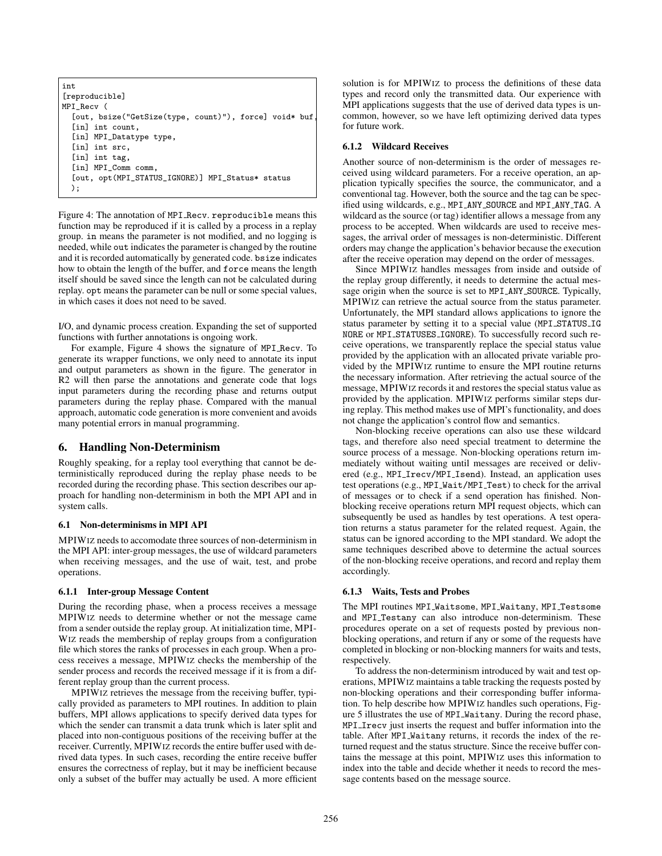```
int
[reproducible]
MPI_Recv (
  [out, bsize("GetSize(type, count)"), force] void* buf,
  [in] int count,
  [in] MPI_Datatype type,
  [in] int src,
  [in] int tag,
  [in] MPI_Comm comm,
  [out, opt(MPI_STATUS_IGNORE)] MPI_Status* status
  );
```
Figure 4: The annotation of MPI Recv. reproducible means this function may be reproduced if it is called by a process in a replay group. in means the parameter is not modified, and no logging is needed, while out indicates the parameter is changed by the routine and it is recorded automatically by generated code. bsize indicates how to obtain the length of the buffer, and force means the length itself should be saved since the length can not be calculated during replay. opt means the parameter can be null or some special values, in which cases it does not need to be saved.

I/O, and dynamic process creation. Expanding the set of supported functions with further annotations is ongoing work.

For example, Figure 4 shows the signature of MPI Recv. To generate its wrapper functions, we only need to annotate its input and output parameters as shown in the figure. The generator in R2 will then parse the annotations and generate code that logs input parameters during the recording phase and returns output parameters during the replay phase. Compared with the manual approach, automatic code generation is more convenient and avoids many potential errors in manual programming.

# 6. Handling Non-Determinism

Roughly speaking, for a replay tool everything that cannot be deterministically reproduced during the replay phase needs to be recorded during the recording phase. This section describes our approach for handling non-determinism in both the MPI API and in system calls.

## 6.1 Non-determinisms in MPI API

MPIWIZ needs to accomodate three sources of non-determinism in the MPI API: inter-group messages, the use of wildcard parameters when receiving messages, and the use of wait, test, and probe operations.

#### 6.1.1 Inter-group Message Content

During the recording phase, when a process receives a message MPIWIZ needs to determine whether or not the message came from a sender outside the replay group. At initialization time, MPI-WIZ reads the membership of replay groups from a configuration file which stores the ranks of processes in each group. When a process receives a message, MPIWIZ checks the membership of the sender process and records the received message if it is from a different replay group than the current process.

MPIWIZ retrieves the message from the receiving buffer, typically provided as parameters to MPI routines. In addition to plain buffers, MPI allows applications to specify derived data types for which the sender can transmit a data trunk which is later split and placed into non-contiguous positions of the receiving buffer at the receiver. Currently, MPIWIZ records the entire buffer used with derived data types. In such cases, recording the entire receive buffer ensures the correctness of replay, but it may be inefficient because only a subset of the buffer may actually be used. A more efficient

solution is for MPIWIZ to process the definitions of these data types and record only the transmitted data. Our experience with MPI applications suggests that the use of derived data types is uncommon, however, so we have left optimizing derived data types for future work.

## 6.1.2 Wildcard Receives

Another source of non-determinism is the order of messages received using wildcard parameters. For a receive operation, an application typically specifies the source, the communicator, and a conventional tag. However, both the source and the tag can be specified using wildcards, e.g., MPI\_ANY\_SOURCE and MPI\_ANY\_TAG. A wildcard as the source (or tag) identifier allows a message from any process to be accepted. When wildcards are used to receive messages, the arrival order of messages is non-deterministic. Different orders may change the application's behavior because the execution after the receive operation may depend on the order of messages.

Since MPIWIZ handles messages from inside and outside of the replay group differently, it needs to determine the actual message origin when the source is set to MPI ANY SOURCE. Typically, MPIWIZ can retrieve the actual source from the status parameter. Unfortunately, the MPI standard allows applications to ignore the status parameter by setting it to a special value (MPI\_STATUS\_IG NORE or MPI STATUSES IGNORE). To successfully record such receive operations, we transparently replace the special status value provided by the application with an allocated private variable provided by the MPIWIZ runtime to ensure the MPI routine returns the necessary information. After retrieving the actual source of the message, MPIWIZ records it and restores the special status value as provided by the application. MPIWIZ performs similar steps during replay. This method makes use of MPI's functionality, and does not change the application's control flow and semantics.

Non-blocking receive operations can also use these wildcard tags, and therefore also need special treatment to determine the source process of a message. Non-blocking operations return immediately without waiting until messages are received or delivered (e.g., MPI\_Irecv/MPI\_Isend). Instead, an application uses test operations (e.g., MPI\_Wait/MPI\_Test) to check for the arrival of messages or to check if a send operation has finished. Nonblocking receive operations return MPI request objects, which can subsequently be used as handles by test operations. A test operation returns a status parameter for the related request. Again, the status can be ignored according to the MPI standard. We adopt the same techniques described above to determine the actual sources of the non-blocking receive operations, and record and replay them accordingly.

## 6.1.3 Waits, Tests and Probes

The MPI routines MPI\_Waitsome, MPI\_Waitany, MPI\_Testsome and MPI Testany can also introduce non-determinism. These procedures operate on a set of requests posted by previous nonblocking operations, and return if any or some of the requests have completed in blocking or non-blocking manners for waits and tests, respectively.

To address the non-determinism introduced by wait and test operations, MPIWIZ maintains a table tracking the requests posted by non-blocking operations and their corresponding buffer information. To help describe how MPIWIZ handles such operations, Figure 5 illustrates the use of MPI Waitany. During the record phase, MPI\_Irecv just inserts the request and buffer information into the table. After MPI Waitany returns, it records the index of the returned request and the status structure. Since the receive buffer contains the message at this point, MPIWIZ uses this information to index into the table and decide whether it needs to record the message contents based on the message source.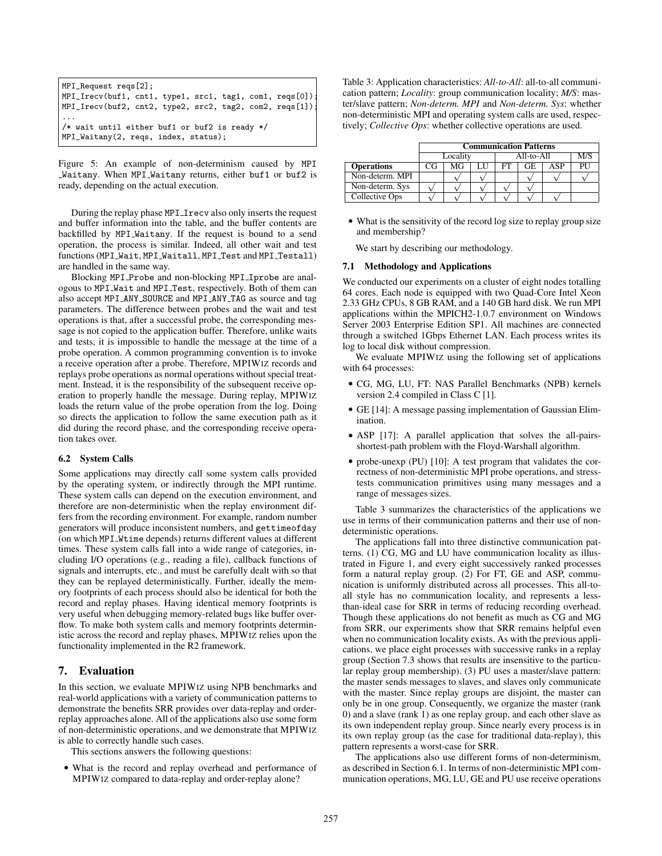```
MPI_Request reqs[2];
MPI_Irecv(buf1, cnt1, type1, src1, tag1, com1, reqs[0]);
MPI_Irecv(buf2, cnt2, type2, src2, tag2, com2, reqs[1]);
...
/* wait until either buf1 or buf2 is ready */
MPI_Waitany(2, reqs, index, status);
```
Figure 5: An example of non-determinism caused by MPI Waitany. When MPI Waitany returns, either buf1 or buf2 is ready, depending on the actual execution.

During the replay phase MPI\_Irecv also only inserts the request and buffer information into the table, and the buffer contents are backfilled by MPI Waitany. If the request is bound to a send operation, the process is similar. Indeed, all other wait and test functions (MPI Wait, MPI Waitall, MPI Test and MPI Testall) are handled in the same way.

Blocking MPI Probe and non-blocking MPI Iprobe are analogous to MPI Wait and MPI Test, respectively. Both of them can also accept MPI ANY SOURCE and MPI ANY TAG as source and tag parameters. The difference between probes and the wait and test operations is that, after a successful probe, the corresponding message is not copied to the application buffer. Therefore, unlike waits and tests, it is impossible to handle the message at the time of a probe operation. A common programming convention is to invoke a receive operation after a probe. Therefore, MPIWIZ records and replays probe operations as normal operations without special treatment. Instead, it is the responsibility of the subsequent receive operation to properly handle the message. During replay, MPIWIZ loads the return value of the probe operation from the log. Doing so directs the application to follow the same execution path as it did during the record phase, and the corresponding receive operation takes over.

## 6.2 System Calls

Some applications may directly call some system calls provided by the operating system, or indirectly through the MPI runtime. These system calls can depend on the execution environment, and therefore are non-deterministic when the replay environment differs from the recording environment. For example, random number generators will produce inconsistent numbers, and gettimeofday (on which MPI Wtime depends) returns different values at different times. These system calls fall into a wide range of categories, including I/O operations (e.g., reading a file), callback functions of signals and interrupts, etc., and must be carefully dealt with so that they can be replayed deterministically. Further, ideally the memory footprints of each process should also be identical for both the record and replay phases. Having identical memory footprints is very useful when debugging memory-related bugs like buffer overflow. To make both system calls and memory footprints deterministic across the record and replay phases, MPIWIZ relies upon the functionality implemented in the R2 framework.

# 7. Evaluation

In this section, we evaluate MPIWIZ using NPB benchmarks and real-world applications with a variety of communication patterns to demonstrate the benefits SRR provides over data-replay and orderreplay approaches alone. All of the applications also use some form of non-deterministic operations, and we demonstrate that MPIWIZ is able to correctly handle such cases.

This sections answers the following questions:

• What is the record and replay overhead and performance of MPIWIZ compared to data-replay and order-replay alone?

Table 3: Application characteristics: *All-to-All*: all-to-all communication pattern; *Locality*: group communication locality; *M/S*: master/slave pattern; *Non-determ. MPI* and *Non-determ. Sys*: whether non-deterministic MPI and operating system calls are used, respectively; *Collective Ops*: whether collective operations are used.

|                   | <b>Communication Patterns</b> |    |    |              |     |     |    |  |  |
|-------------------|-------------------------------|----|----|--------------|-----|-----|----|--|--|
|                   | Locality                      |    |    | $All-to-All$ | M/S |     |    |  |  |
| <b>Operations</b> | CG                            | МG | LН | FT           | GE. | ASP | PU |  |  |
| Non-determ. MPI   |                               |    |    |              |     |     |    |  |  |
| Non-determ. Sys   |                               |    |    |              |     |     |    |  |  |
| Collective Ops    |                               |    |    |              |     |     |    |  |  |

• What is the sensitivity of the record log size to replay group size and membership?

We start by describing our methodology.

## 7.1 Methodology and Applications

We conducted our experiments on a cluster of eight nodes totalling 64 cores. Each node is equipped with two Quad-Core Intel Xeon 2.33 GHz CPUs, 8 GB RAM, and a 140 GB hard disk. We run MPI applications within the MPICH2-1.0.7 environment on Windows Server 2003 Enterprise Edition SP1. All machines are connected through a switched 1Gbps Ethernet LAN. Each process writes its log to local disk without compression.

We evaluate MPIWIZ using the following set of applications with 64 processes:

- CG, MG, LU, FT: NAS Parallel Benchmarks (NPB) kernels version 2.4 compiled in Class C [1].
- GE [14]: A message passing implementation of Gaussian Elimination.
- ASP [17]: A parallel application that solves the all-pairsshortest-path problem with the Floyd-Warshall algorithm.
- probe-unexp (PU) [10]: A test program that validates the correctness of non-deterministic MPI probe operations, and stresstests communication primitives using many messages and a range of messages sizes.

Table 3 summarizes the characteristics of the applications we use in terms of their communication patterns and their use of nondeterministic operations.

The applications fall into three distinctive communication patterns. (1) CG, MG and LU have communication locality as illustrated in Figure 1, and every eight successively ranked processes form a natural replay group. (2) For FT, GE and ASP, communication is uniformly distributed across all processes. This all-toall style has no communication locality, and represents a lessthan-ideal case for SRR in terms of reducing recording overhead. Though these applications do not benefit as much as CG and MG from SRR, our experiments show that SRR remains helpful even when no communication locality exists. As with the previous applications, we place eight processes with successive ranks in a replay group (Section 7.3 shows that results are insensitive to the particular replay group membership). (3) PU uses a master/slave pattern: the master sends messages to slaves, and slaves only communicate with the master. Since replay groups are disjoint, the master can only be in one group. Consequently, we organize the master (rank 0) and a slave (rank 1) as one replay group, and each other slave as its own independent replay group. Since nearly every process is in its own replay group (as the case for traditional data-replay), this pattern represents a worst-case for SRR.

The applications also use different forms of non-determinism, as described in Section 6.1. In terms of non-deterministic MPI communication operations, MG, LU, GE and PU use receive operations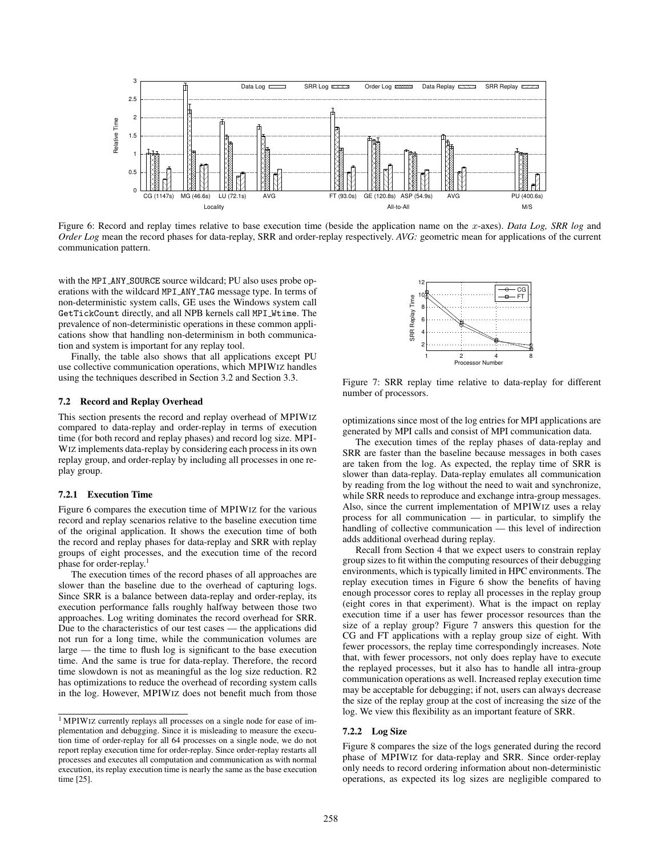

Figure 6: Record and replay times relative to base execution time (beside the application name on the x-axes). *Data Log, SRR log* and *Order Log* mean the record phases for data-replay, SRR and order-replay respectively. *AVG:* geometric mean for applications of the current communication pattern.

with the MPI\_ANY\_SOURCE source wildcard; PU also uses probe operations with the wildcard MPI ANY TAG message type. In terms of non-deterministic system calls, GE uses the Windows system call GetTickCount directly, and all NPB kernels call MPI Wtime. The prevalence of non-deterministic operations in these common applications show that handling non-determinism in both communication and system is important for any replay tool.

Finally, the table also shows that all applications except PU use collective communication operations, which MPIWIZ handles using the techniques described in Section 3.2 and Section 3.3.

## 7.2 Record and Replay Overhead

This section presents the record and replay overhead of MPIWIZ compared to data-replay and order-replay in terms of execution time (for both record and replay phases) and record log size. MPI-WIZ implements data-replay by considering each process in its own replay group, and order-replay by including all processes in one replay group.

## 7.2.1 Execution Time

Figure 6 compares the execution time of MPIWIZ for the various record and replay scenarios relative to the baseline execution time of the original application. It shows the execution time of both the record and replay phases for data-replay and SRR with replay groups of eight processes, and the execution time of the record phase for order-replay.<sup>1</sup>

The execution times of the record phases of all approaches are slower than the baseline due to the overhead of capturing logs. Since SRR is a balance between data-replay and order-replay, its execution performance falls roughly halfway between those two approaches. Log writing dominates the record overhead for SRR. Due to the characteristics of our test cases — the applications did not run for a long time, while the communication volumes are large — the time to flush log is significant to the base execution time. And the same is true for data-replay. Therefore, the record time slowdown is not as meaningful as the log size reduction. R2 has optimizations to reduce the overhead of recording system calls in the log. However, MPIWIZ does not benefit much from those



Figure 7: SRR replay time relative to data-replay for different number of processors.

optimizations since most of the log entries for MPI applications are generated by MPI calls and consist of MPI communication data.

The execution times of the replay phases of data-replay and SRR are faster than the baseline because messages in both cases are taken from the log. As expected, the replay time of SRR is slower than data-replay. Data-replay emulates all communication by reading from the log without the need to wait and synchronize, while SRR needs to reproduce and exchange intra-group messages. Also, since the current implementation of MPIWIZ uses a relay process for all communication — in particular, to simplify the handling of collective communication — this level of indirection adds additional overhead during replay.

Recall from Section 4 that we expect users to constrain replay group sizes to fit within the computing resources of their debugging environments, which is typically limited in HPC environments. The replay execution times in Figure 6 show the benefits of having enough processor cores to replay all processes in the replay group (eight cores in that experiment). What is the impact on replay execution time if a user has fewer processor resources than the size of a replay group? Figure 7 answers this question for the CG and FT applications with a replay group size of eight. With fewer processors, the replay time correspondingly increases. Note that, with fewer processors, not only does replay have to execute the replayed processes, but it also has to handle all intra-group communication operations as well. Increased replay execution time may be acceptable for debugging; if not, users can always decrease the size of the replay group at the cost of increasing the size of the log. We view this flexibility as an important feature of SRR.

#### 7.2.2 Log Size

Figure 8 compares the size of the logs generated during the record phase of MPIWIZ for data-replay and SRR. Since order-replay only needs to record ordering information about non-deterministic operations, as expected its log sizes are negligible compared to

<sup>&</sup>lt;sup>1</sup> MPIWIZ currently replays all processes on a single node for ease of implementation and debugging. Since it is misleading to measure the execution time of order-replay for all 64 processes on a single node, we do not report replay execution time for order-replay. Since order-replay restarts all processes and executes all computation and communication as with normal execution, its replay execution time is nearly the same as the base execution time [25].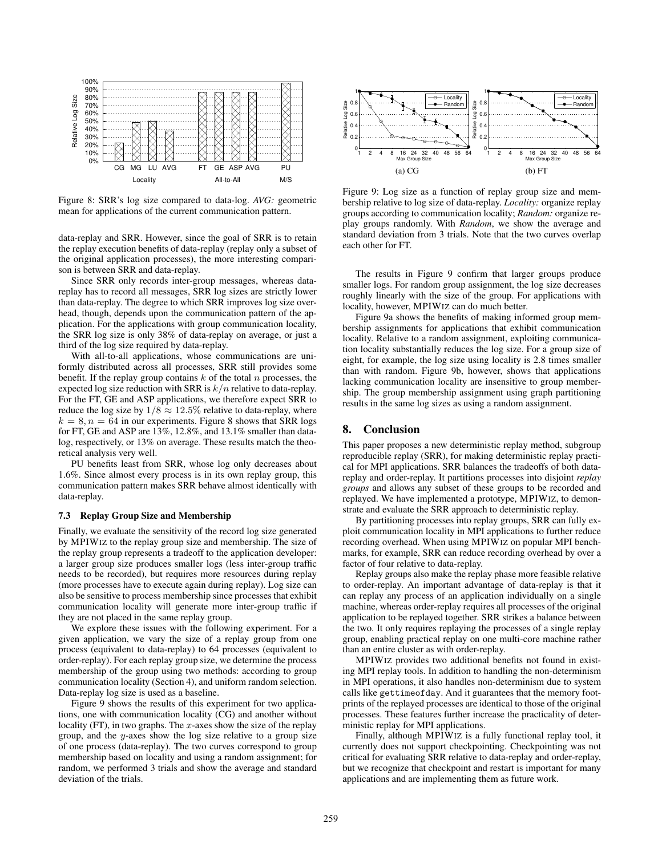

Figure 8: SRR's log size compared to data-log. *AVG:* geometric mean for applications of the current communication pattern.

data-replay and SRR. However, since the goal of SRR is to retain the replay execution benefits of data-replay (replay only a subset of the original application processes), the more interesting comparison is between SRR and data-replay.

Since SRR only records inter-group messages, whereas datareplay has to record all messages, SRR log sizes are strictly lower than data-replay. The degree to which SRR improves log size overhead, though, depends upon the communication pattern of the application. For the applications with group communication locality, the SRR log size is only 38% of data-replay on average, or just a third of the log size required by data-replay.

With all-to-all applications, whose communications are uniformly distributed across all processes, SRR still provides some benefit. If the replay group contains  $k$  of the total  $n$  processes, the expected log size reduction with SRR is  $k/n$  relative to data-replay. For the FT, GE and ASP applications, we therefore expect SRR to reduce the log size by  $1/8 \approx 12.5\%$  relative to data-replay, where  $k = 8, n = 64$  in our experiments. Figure 8 shows that SRR logs for FT, GE and ASP are 13%, 12.8%, and 13.1% smaller than datalog, respectively, or 13% on average. These results match the theoretical analysis very well.

PU benefits least from SRR, whose log only decreases about 1.6%. Since almost every process is in its own replay group, this communication pattern makes SRR behave almost identically with data-replay.

#### 7.3 Replay Group Size and Membership

Finally, we evaluate the sensitivity of the record log size generated by MPIWIZ to the replay group size and membership. The size of the replay group represents a tradeoff to the application developer: a larger group size produces smaller logs (less inter-group traffic needs to be recorded), but requires more resources during replay (more processes have to execute again during replay). Log size can also be sensitive to process membership since processes that exhibit communication locality will generate more inter-group traffic if they are not placed in the same replay group.

We explore these issues with the following experiment. For a given application, we vary the size of a replay group from one process (equivalent to data-replay) to 64 processes (equivalent to order-replay). For each replay group size, we determine the process membership of the group using two methods: according to group communication locality (Section 4), and uniform random selection. Data-replay log size is used as a baseline.

Figure 9 shows the results of this experiment for two applications, one with communication locality (CG) and another without locality (FT), in two graphs. The  $x$ -axes show the size of the replay group, and the y-axes show the log size relative to a group size of one process (data-replay). The two curves correspond to group membership based on locality and using a random assignment; for random, we performed 3 trials and show the average and standard deviation of the trials.



Figure 9: Log size as a function of replay group size and membership relative to log size of data-replay. *Locality:* organize replay groups according to communication locality; *Random:* organize replay groups randomly. With *Random*, we show the average and standard deviation from 3 trials. Note that the two curves overlap each other for FT.

The results in Figure 9 confirm that larger groups produce smaller logs. For random group assignment, the log size decreases roughly linearly with the size of the group. For applications with locality, however, MPIWIZ can do much better.

Figure 9a shows the benefits of making informed group membership assignments for applications that exhibit communication locality. Relative to a random assignment, exploiting communication locality substantially reduces the log size. For a group size of eight, for example, the log size using locality is 2.8 times smaller than with random. Figure 9b, however, shows that applications lacking communication locality are insensitive to group membership. The group membership assignment using graph partitioning results in the same log sizes as using a random assignment.

## 8. Conclusion

This paper proposes a new deterministic replay method, subgroup reproducible replay (SRR), for making deterministic replay practical for MPI applications. SRR balances the tradeoffs of both datareplay and order-replay. It partitions processes into disjoint *replay groups* and allows any subset of these groups to be recorded and replayed. We have implemented a prototype, MPIWIZ, to demonstrate and evaluate the SRR approach to deterministic replay.

By partitioning processes into replay groups, SRR can fully exploit communication locality in MPI applications to further reduce recording overhead. When using MPIWIZ on popular MPI benchmarks, for example, SRR can reduce recording overhead by over a factor of four relative to data-replay.

Replay groups also make the replay phase more feasible relative to order-replay. An important advantage of data-replay is that it can replay any process of an application individually on a single machine, whereas order-replay requires all processes of the original application to be replayed together. SRR strikes a balance between the two. It only requires replaying the processes of a single replay group, enabling practical replay on one multi-core machine rather than an entire cluster as with order-replay.

MPIWIZ provides two additional benefits not found in existing MPI replay tools. In addition to handling the non-determinism in MPI operations, it also handles non-determinism due to system calls like gettimeofday. And it guarantees that the memory footprints of the replayed processes are identical to those of the original processes. These features further increase the practicality of deterministic replay for MPI applications.

Finally, although MPIWIZ is a fully functional replay tool, it currently does not support checkpointing. Checkpointing was not critical for evaluating SRR relative to data-replay and order-replay, but we recognize that checkpoint and restart is important for many applications and are implementing them as future work.